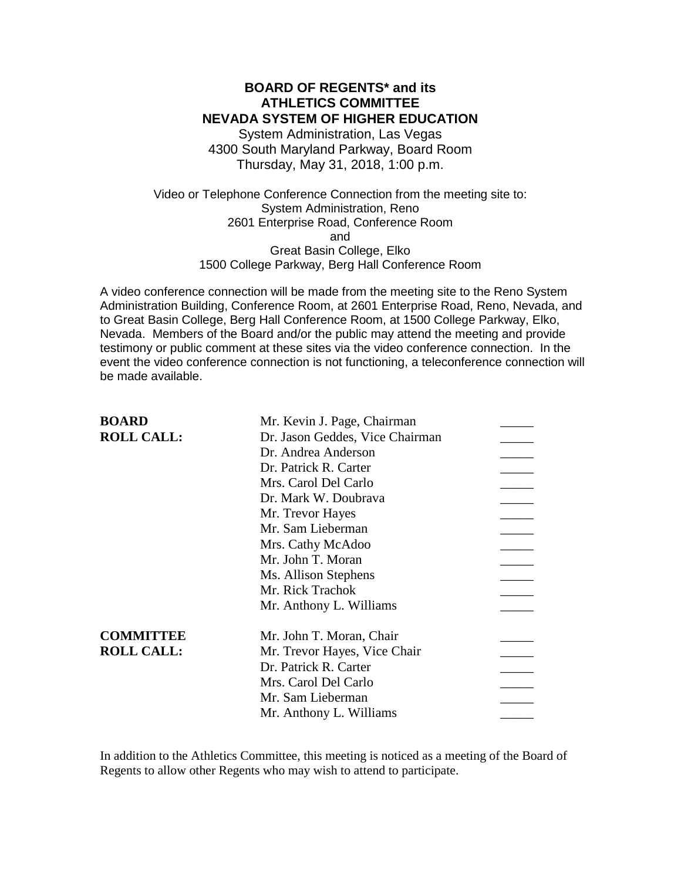### **BOARD OF REGENTS\* and its ATHLETICS COMMITTEE NEVADA SYSTEM OF HIGHER EDUCATION**

System Administration, Las Vegas 4300 South Maryland Parkway, Board Room Thursday, May 31, 2018, 1:00 p.m.

Video or Telephone Conference Connection from the meeting site to: System Administration, Reno 2601 Enterprise Road, Conference Room and Great Basin College, Elko 1500 College Parkway, Berg Hall Conference Room

A video conference connection will be made from the meeting site to the Reno System Administration Building, Conference Room, at 2601 Enterprise Road, Reno, Nevada, and to Great Basin College, Berg Hall Conference Room, at 1500 College Parkway, Elko, Nevada. Members of the Board and/or the public may attend the meeting and provide testimony or public comment at these sites via the video conference connection. In the event the video conference connection is not functioning, a teleconference connection will be made available.

| <b>BOARD</b>      | Mr. Kevin J. Page, Chairman     |  |
|-------------------|---------------------------------|--|
| <b>ROLL CALL:</b> | Dr. Jason Geddes, Vice Chairman |  |
|                   | Dr. Andrea Anderson             |  |
|                   | Dr. Patrick R. Carter           |  |
|                   | Mrs. Carol Del Carlo            |  |
|                   | Dr. Mark W. Doubrava            |  |
|                   | Mr. Trevor Hayes                |  |
|                   | Mr. Sam Lieberman               |  |
|                   | Mrs. Cathy McAdoo               |  |
|                   | Mr. John T. Moran               |  |
|                   | Ms. Allison Stephens            |  |
|                   | Mr. Rick Trachok                |  |
|                   | Mr. Anthony L. Williams         |  |
| <b>COMMITTEE</b>  | Mr. John T. Moran, Chair        |  |
| <b>ROLL CALL:</b> | Mr. Trevor Hayes, Vice Chair    |  |
|                   | Dr. Patrick R. Carter           |  |
|                   | Mrs. Carol Del Carlo            |  |
|                   | Mr. Sam Lieberman               |  |
|                   | Mr. Anthony L. Williams         |  |
|                   |                                 |  |

In addition to the Athletics Committee, this meeting is noticed as a meeting of the Board of Regents to allow other Regents who may wish to attend to participate.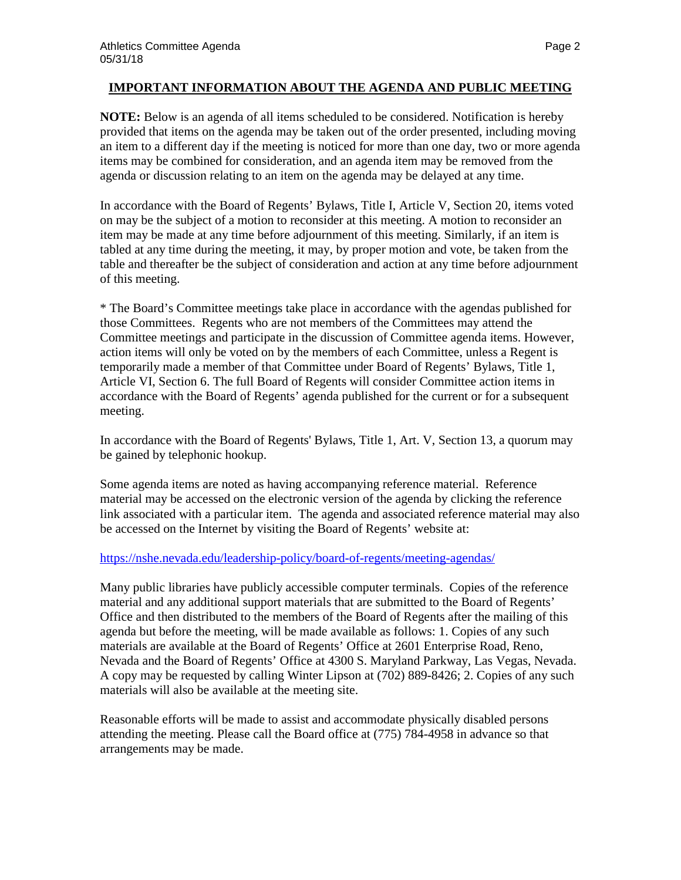## **IMPORTANT INFORMATION ABOUT THE AGENDA AND PUBLIC MEETING**

**NOTE:** Below is an agenda of all items scheduled to be considered. Notification is hereby provided that items on the agenda may be taken out of the order presented, including moving an item to a different day if the meeting is noticed for more than one day, two or more agenda items may be combined for consideration, and an agenda item may be removed from the agenda or discussion relating to an item on the agenda may be delayed at any time.

In accordance with the Board of Regents' Bylaws, Title I, Article V, Section 20, items voted on may be the subject of a motion to reconsider at this meeting. A motion to reconsider an item may be made at any time before adjournment of this meeting. Similarly, if an item is tabled at any time during the meeting, it may, by proper motion and vote, be taken from the table and thereafter be the subject of consideration and action at any time before adjournment of this meeting.

\* The Board's Committee meetings take place in accordance with the agendas published for those Committees. Regents who are not members of the Committees may attend the Committee meetings and participate in the discussion of Committee agenda items. However, action items will only be voted on by the members of each Committee, unless a Regent is temporarily made a member of that Committee under Board of Regents' Bylaws, Title 1, Article VI, Section 6. The full Board of Regents will consider Committee action items in accordance with the Board of Regents' agenda published for the current or for a subsequent meeting.

In accordance with the Board of Regents' Bylaws, Title 1, Art. V, Section 13, a quorum may be gained by telephonic hookup.

Some agenda items are noted as having accompanying reference material. Reference material may be accessed on the electronic version of the agenda by clicking the reference link associated with a particular item. The agenda and associated reference material may also be accessed on the Internet by visiting the Board of Regents' website at:

## <https://nshe.nevada.edu/leadership-policy/board-of-regents/meeting-agendas/>

Many public libraries have publicly accessible computer terminals. Copies of the reference material and any additional support materials that are submitted to the Board of Regents' Office and then distributed to the members of the Board of Regents after the mailing of this agenda but before the meeting, will be made available as follows: 1. Copies of any such materials are available at the Board of Regents' Office at 2601 Enterprise Road, Reno, Nevada and the Board of Regents' Office at 4300 S. Maryland Parkway, Las Vegas, Nevada. A copy may be requested by calling Winter Lipson at (702) 889-8426; 2. Copies of any such materials will also be available at the meeting site.

Reasonable efforts will be made to assist and accommodate physically disabled persons attending the meeting. Please call the Board office at (775) 784-4958 in advance so that arrangements may be made.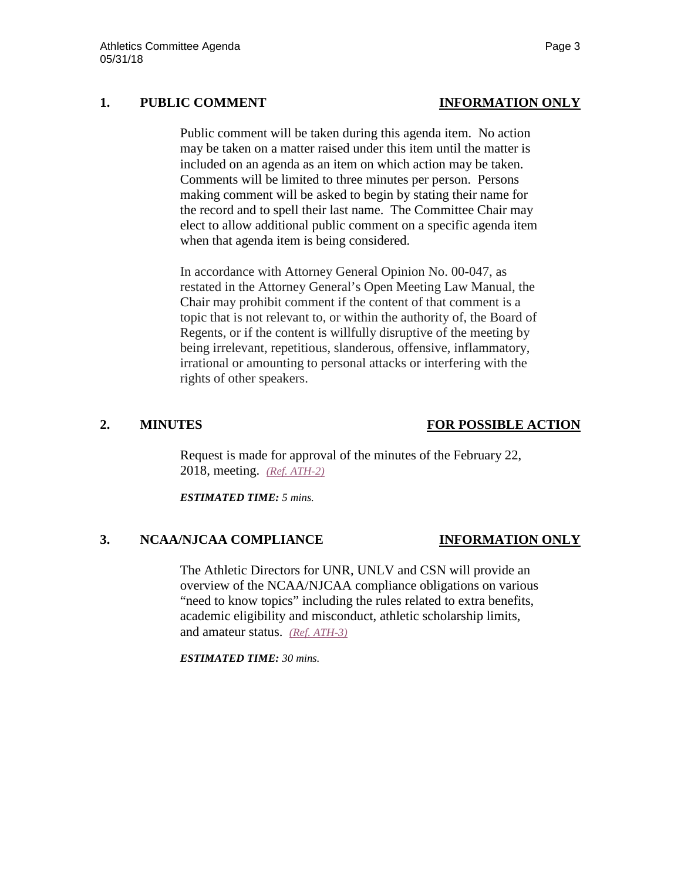## **1. PUBLIC COMMENT INFORMATION ONLY**

Public comment will be taken during this agenda item. No action may be taken on a matter raised under this item until the matter is included on an agenda as an item on which action may be taken. Comments will be limited to three minutes per person. Persons making comment will be asked to begin by stating their name for the record and to spell their last name. The Committee Chair may elect to allow additional public comment on a specific agenda item when that agenda item is being considered.

In accordance with Attorney General Opinion No. 00-047, as restated in the Attorney General's Open Meeting Law Manual, the Chair may prohibit comment if the content of that comment is a topic that is not relevant to, or within the authority of, the Board of Regents, or if the content is willfully disruptive of the meeting by being irrelevant, repetitious, slanderous, offensive, inflammatory, irrational or amounting to personal attacks or interfering with the rights of other speakers.

## **2. MINUTES FOR POSSIBLE ACTION**

Request is made for approval of the minutes of the February 22, 2018, meeting. *[\(Ref. ATH-2\)](https://nshe.nevada.edu/wp-content/uploads/file/BoardOfRegents/Agendas/2018/may-mtgs/ath-refs/ATH-2.pdf)*

*ESTIMATED TIME: 5 mins.*

## **3. NCAA/NJCAA COMPLIANCE INFORMATION ONLY**

The Athletic Directors for UNR, UNLV and CSN will provide an overview of the NCAA/NJCAA compliance obligations on various "need to know topics" including the rules related to extra benefits, academic eligibility and misconduct, athletic scholarship limits, and amateur status. *[\(Ref. ATH-3\)](https://nshe.nevada.edu/wp-content/uploads/file/BoardOfRegents/Agendas/2018/may-mtgs/ath-refs/ATH-3.pdf)*

*ESTIMATED TIME: 30 mins.*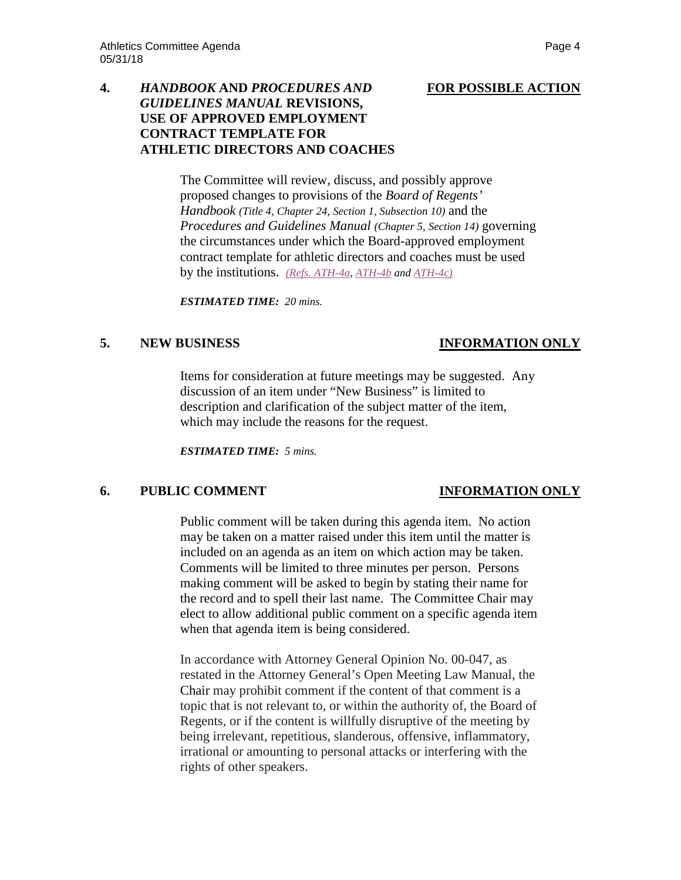# **4.** *HANDBOOK* **AND** *PROCEDURES AND* **FOR POSSIBLE ACTION**

## *GUIDELINES MANUAL* **REVISIONS, USE OF APPROVED EMPLOYMENT CONTRACT TEMPLATE FOR ATHLETIC DIRECTORS AND COACHES**

The Committee will review, discuss, and possibly approve proposed changes to provisions of the *Board of Regents' Handbook (Title 4, Chapter 24, Section 1, Subsection 10)* and the *Procedures and Guidelines Manual (Chapter 5, Section 14)* governing the circumstances under which the Board-approved employment contract template for athletic directors and coaches must be used by the institutions. *[\(Refs. ATH-4a,](https://nshe.nevada.edu/wp-content/uploads/file/BoardOfRegents/Agendas/2018/may-mtgs/ath-refs/ATH-4a.pdf) [ATH-4b](https://nshe.nevada.edu/wp-content/uploads/file/BoardOfRegents/Agendas/2018/may-mtgs/ath-refs/ATH-4b.pdf) and [ATH-4c\)](https://nshe.nevada.edu/wp-content/uploads/file/BoardOfRegents/Agendas/2018/may-mtgs/ath-refs/ATH-4c.pdf)*

*ESTIMATED TIME: 20 mins.*

## **5. NEW BUSINESS INFORMATION ONLY**

Items for consideration at future meetings may be suggested. Any discussion of an item under "New Business" is limited to description and clarification of the subject matter of the item, which may include the reasons for the request.

*ESTIMATED TIME: 5 mins.*

## **6. PUBLIC COMMENT INFORMATION ONLY**

Public comment will be taken during this agenda item. No action may be taken on a matter raised under this item until the matter is included on an agenda as an item on which action may be taken. Comments will be limited to three minutes per person. Persons making comment will be asked to begin by stating their name for the record and to spell their last name. The Committee Chair may elect to allow additional public comment on a specific agenda item when that agenda item is being considered.

In accordance with Attorney General Opinion No. 00-047, as restated in the Attorney General's Open Meeting Law Manual, the Chair may prohibit comment if the content of that comment is a topic that is not relevant to, or within the authority of, the Board of Regents, or if the content is willfully disruptive of the meeting by being irrelevant, repetitious, slanderous, offensive, inflammatory, irrational or amounting to personal attacks or interfering with the rights of other speakers.